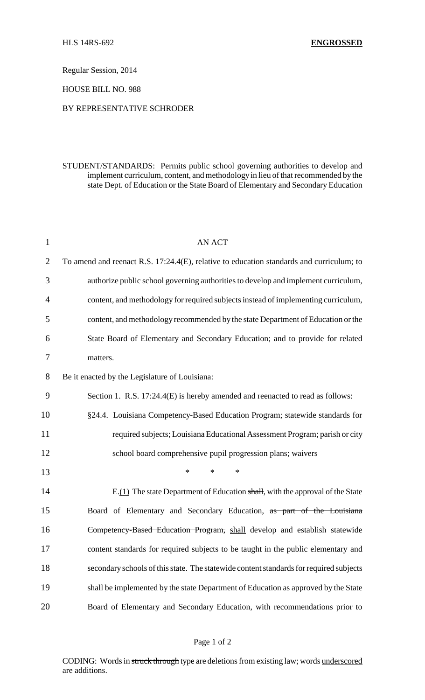Regular Session, 2014

HOUSE BILL NO. 988

#### BY REPRESENTATIVE SCHRODER

# STUDENT/STANDARDS: Permits public school governing authorities to develop and implement curriculum, content, and methodology in lieu ofthat recommended by the state Dept. of Education or the State Board of Elementary and Secondary Education

| $\mathbf{1}$   | <b>AN ACT</b>                                                                            |
|----------------|------------------------------------------------------------------------------------------|
| $\overline{2}$ | To amend and reenact R.S. 17:24.4(E), relative to education standards and curriculum; to |
| 3              | authorize public school governing authorities to develop and implement curriculum,       |
| 4              | content, and methodology for required subjects instead of implementing curriculum,       |
| 5              | content, and methodology recommended by the state Department of Education or the         |
| 6              | State Board of Elementary and Secondary Education; and to provide for related            |
| 7              | matters.                                                                                 |
| 8              | Be it enacted by the Legislature of Louisiana:                                           |
| 9              | Section 1. R.S. 17:24.4(E) is hereby amended and reenacted to read as follows:           |
| 10             | §24.4. Louisiana Competency-Based Education Program; statewide standards for             |
| 11             | required subjects; Louisiana Educational Assessment Program; parish or city              |
| 12             | school board comprehensive pupil progression plans; waivers                              |
| 13             | $\ast$<br>$\ast$<br>$\ast$                                                               |
| 14             | $E(1)$ The state Department of Education shall, with the approval of the State           |
| 15             | Board of Elementary and Secondary Education, as part of the Louisiana                    |
| 16             | Competency-Based Education Program, shall develop and establish statewide                |
| 17             | content standards for required subjects to be taught in the public elementary and        |
| 18             | secondary schools of this state. The statewide content standards for required subjects   |
| 19             | shall be implemented by the state Department of Education as approved by the State       |
| 20             | Board of Elementary and Secondary Education, with recommendations prior to               |
|                |                                                                                          |

CODING: Words in struck through type are deletions from existing law; words underscored are additions.